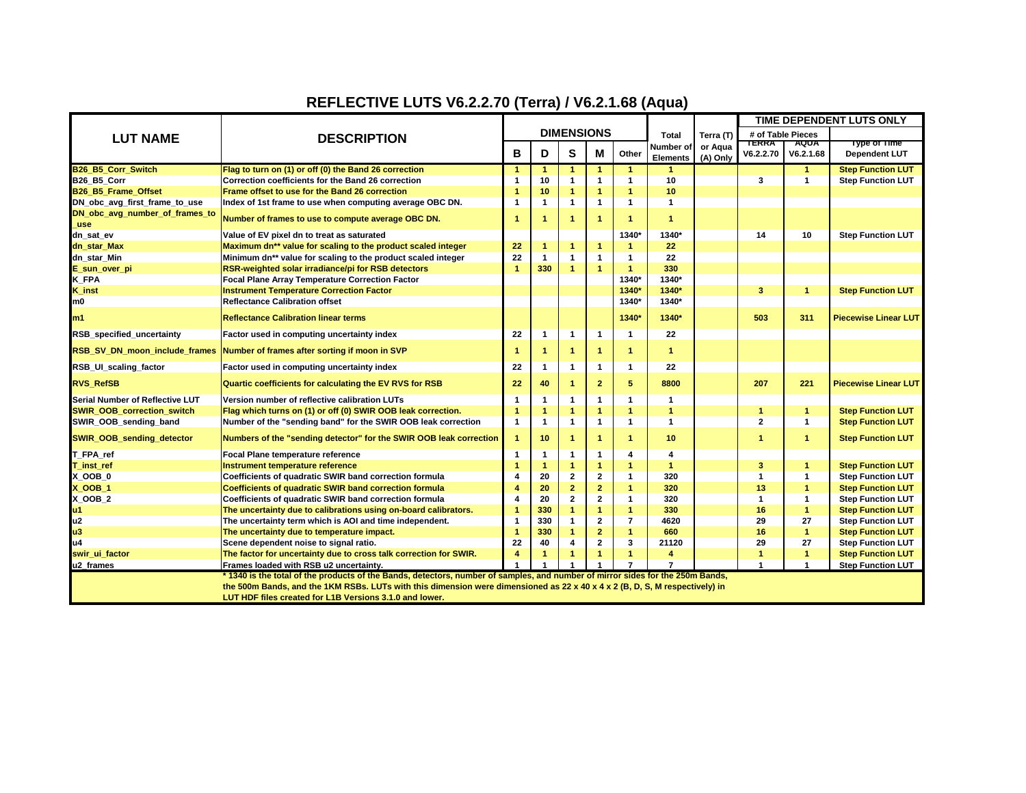|                                   | <b>DESCRIPTION</b>                                                                                                            |                      |                |                         |                         |                      |                      |           | TIME DEPENDENT LUTS ONLY |                      |                             |  |
|-----------------------------------|-------------------------------------------------------------------------------------------------------------------------------|----------------------|----------------|-------------------------|-------------------------|----------------------|----------------------|-----------|--------------------------|----------------------|-----------------------------|--|
| <b>LUT NAME</b>                   |                                                                                                                               |                      |                | <b>DIMENSIONS</b>       |                         |                      | <b>Total</b>         | Terra (T) | # of Table Pieces        |                      |                             |  |
|                                   |                                                                                                                               |                      |                |                         |                         |                      | Number of            | or Aqua   | <b>TERRA</b>             | <b>AQUA</b>          | Type of Time                |  |
|                                   |                                                                                                                               | B                    | D              | S                       | M                       | Other                | <b>Elements</b>      | (A) Only  | V6.2.2.70                | V6.2.1.68            | <b>Dependent LUT</b>        |  |
| <b>B26 B5 Corr Switch</b>         | Flag to turn on (1) or off (0) the Band 26 correction                                                                         | 1                    | -1             |                         | $\mathbf{1}$            | 1                    | -1                   |           |                          | 1                    | <b>Step Function LUT</b>    |  |
| B26 B5 Corr                       | Correction coefficients for the Band 26 correction                                                                            | $\mathbf 1$          | 10             | $\mathbf{1}$            | $\mathbf{1}$            | 1                    | 10                   |           | 3                        | $\mathbf{1}$         | <b>Step Function LUT</b>    |  |
| B26 B5 Frame Offset               | Frame offset to use for the Band 26 correction                                                                                |                      | 10             |                         | $\mathbf{1}$            | 1                    | 10                   |           |                          |                      |                             |  |
| DN_obc_avg_first_frame_to_use     | Index of 1st frame to use when computing average OBC DN.                                                                      | 1                    | $\mathbf{1}$   | $\overline{1}$          | $\mathbf{1}$            | $\mathbf{1}$         | $\mathbf{1}$         |           |                          |                      |                             |  |
| DN obc avg number of frames to    | Number of frames to use to compute average OBC DN.                                                                            | 1                    | ۴              | -1                      | $\blacktriangleleft$    | 1                    | $\blacktriangleleft$ |           |                          |                      |                             |  |
| use                               |                                                                                                                               |                      |                |                         |                         |                      |                      |           |                          |                      |                             |  |
| dn_sat_ev                         | Value of EV pixel dn to treat as saturated                                                                                    |                      |                |                         |                         | 1340*                | 1340*                |           | 14                       | 10                   | <b>Step Function LUT</b>    |  |
| dn star Max                       | Maximum dn** value for scaling to the product scaled integer                                                                  | 22                   | -1             | -1                      | $\blacktriangleleft$    | 1                    | 22                   |           |                          |                      |                             |  |
| dn star Min                       | Minimum dn** value for scaling to the product scaled integer                                                                  | 22                   | $\overline{1}$ | $\overline{1}$          | $\mathbf{1}$            | -1                   | 22                   |           |                          |                      |                             |  |
| E_sun_over_pi                     | RSR-weighted solar irradiance/pi for RSB detectors                                                                            | $\blacktriangleleft$ | 330            | $\blacktriangleleft$    | $\blacktriangleleft$    | $\blacktriangleleft$ | 330                  |           |                          |                      |                             |  |
| K_FPA                             | Focal Plane Array Temperature Correction Factor                                                                               |                      |                |                         |                         | 1340*                | 1340*                |           |                          |                      |                             |  |
| K_inst                            | <b>Instrument Temperature Correction Factor</b>                                                                               |                      |                |                         |                         | 1340*                | 1340*                |           | $\overline{\mathbf{3}}$  | $\overline{1}$       | <b>Step Function LUT</b>    |  |
| m0                                | <b>Reflectance Calibration offset</b>                                                                                         |                      |                |                         |                         | 1340*                | 1340*                |           |                          |                      |                             |  |
| m1                                | <b>Reflectance Calibration linear terms</b>                                                                                   |                      |                |                         |                         | 1340*                | 1340*                |           | 503                      | 311                  | <b>Piecewise Linear LUT</b> |  |
| RSB specified uncertainty         | Factor used in computing uncertainty index                                                                                    | 22                   | 1              | $\overline{1}$          | $\mathbf{1}$            | $\mathbf{1}$         | 22                   |           |                          |                      |                             |  |
| RSB SV DN moon include frames     | Number of frames after sorting if moon in SVP                                                                                 | 1                    | -1             | -1                      | $\mathbf{1}$            | 1                    | 1                    |           |                          |                      |                             |  |
| RSB UI scaling factor             | Factor used in computing uncertainty index                                                                                    | 22                   | -1             | -1                      | $\mathbf{1}$            | -1                   | 22                   |           |                          |                      |                             |  |
| <b>RVS_RefSB</b>                  | Quartic coefficients for calculating the EV RVS for RSB                                                                       | 22                   | 40             |                         | $\overline{2}$          | 5                    | 8800                 |           | 207                      | 221                  | <b>Piecewise Linear LUT</b> |  |
| Serial Number of Reflective LUT   | Version number of reflective calibration LUTs                                                                                 | 1                    | 1              | -1                      | $\mathbf{1}$            | 1                    | 1                    |           |                          |                      |                             |  |
| <b>SWIR OOB correction switch</b> | Flag which turns on (1) or off (0) SWIR OOB leak correction.                                                                  |                      | 1              |                         | $\blacktriangleleft$    | 1                    | $\blacktriangleleft$ |           | $\mathbf{1}$             | $\mathbf{1}$         | <b>Step Function LUT</b>    |  |
| SWIR_OOB_sending_band             | Number of the "sending band" for the SWIR OOB leak correction                                                                 | 1                    | $\mathbf{1}$   | $\overline{1}$          | $\mathbf{1}$            | -1                   | 1                    |           | $\mathbf{2}$             | $\mathbf{1}$         | <b>Step Function LUT</b>    |  |
| <b>SWIR_OOB_sending_detector</b>  | Numbers of the "sending detector" for the SWIR OOB leak correction                                                            | $\blacktriangleleft$ | 10             | -1                      | $\blacktriangleleft$    | 1                    | 10                   |           | $\overline{1}$           | $\mathbf{1}$         | <b>Step Function LUT</b>    |  |
| T FPA ref                         | Focal Plane temperature reference                                                                                             | 1                    | -1             | -1                      | $\mathbf{1}$            | 4                    | 4                    |           |                          |                      |                             |  |
| T inst ref                        | Instrument temperature reference                                                                                              |                      | -1             | -1                      | $\overline{1}$          | 1                    | $\blacktriangleleft$ |           | 3                        | $\mathbf{1}$         | <b>Step Function LUT</b>    |  |
| X_OOB_0                           | Coefficients of quadratic SWIR band correction formula                                                                        | 4                    | 20             | $\mathbf{2}$            | $\mathbf{2}$            | 1                    | 320                  |           | $\mathbf{1}$             | $\mathbf{1}$         | <b>Step Function LUT</b>    |  |
| X OOB 1                           | <b>Coefficients of quadratic SWIR band correction formula</b>                                                                 |                      | 20             | $\overline{2}$          | $\overline{\mathbf{2}}$ | 1                    | 320                  |           | 13                       | $\mathbf{1}$         | <b>Step Function LUT</b>    |  |
| X_OOB_2                           | Coefficients of quadratic SWIR band correction formula                                                                        | 4                    | 20             | $\mathbf{2}$            | $\mathbf{2}$            | 1                    | 320                  |           | $\mathbf{1}$             | $\mathbf{1}$         | <b>Step Function LUT</b>    |  |
|                                   | The uncertainty due to calibrations using on-board calibrators.                                                               |                      | 330            |                         | $\mathbf{1}$            | $\blacktriangleleft$ | 330                  |           | 16                       | $\mathbf{1}$         | <b>Step Function LUT</b>    |  |
| u1<br>u2                          | The uncertainty term which is AOI and time independent.                                                                       | 1                    | 330            | -1                      | $\mathbf{2}$            | $\overline{7}$       | 4620                 |           | 29                       | 27                   | <b>Step Function LUT</b>    |  |
|                                   | The uncertainty due to temperature impact.                                                                                    | -1                   | 330            |                         | $\overline{2}$          | $\blacktriangleleft$ | 660                  |           | 16                       | $\blacktriangleleft$ | <b>Step Function LUT</b>    |  |
| u3<br>u4                          | Scene dependent noise to signal ratio.                                                                                        | 22                   | 40             | $\overline{\mathbf{4}}$ | $\mathbf{2}$            | 3                    | 21120                |           | 29                       | 27                   | <b>Step Function LUT</b>    |  |
| swir ui factor                    | The factor for uncertainty due to cross talk correction for SWIR.                                                             | $\overline{4}$       | 1              | -1                      | -1                      | 1                    | 4                    |           | -1                       | $\mathbf{1}$         | <b>Step Function LUT</b>    |  |
| u2 frames                         | Frames loaded with RSB u2 uncertainty.                                                                                        |                      |                |                         |                         | $\overline{7}$       | 7                    |           | $\mathbf{1}$             | $\overline{1}$       | <b>Step Function LUT</b>    |  |
|                                   | *1340 is the total of the products of the Bands, detectors, number of samples, and number of mirror sides for the 250m Bands, |                      |                |                         |                         |                      |                      |           |                          |                      |                             |  |
|                                   | the 500m Bands, and the 1KM RSBs. LUTs with this dimension were dimensioned as 22 x 40 x 4 x 2 (B, D, S, M respectively) in   |                      |                |                         |                         |                      |                      |           |                          |                      |                             |  |
|                                   | LUT HDF files created for L1B Versions 3.1.0 and lower.                                                                       |                      |                |                         |                         |                      |                      |           |                          |                      |                             |  |

## **REFLECTIVE LUTS V6.2.2.70 (Terra) / V6.2.1.68 (Aqua)**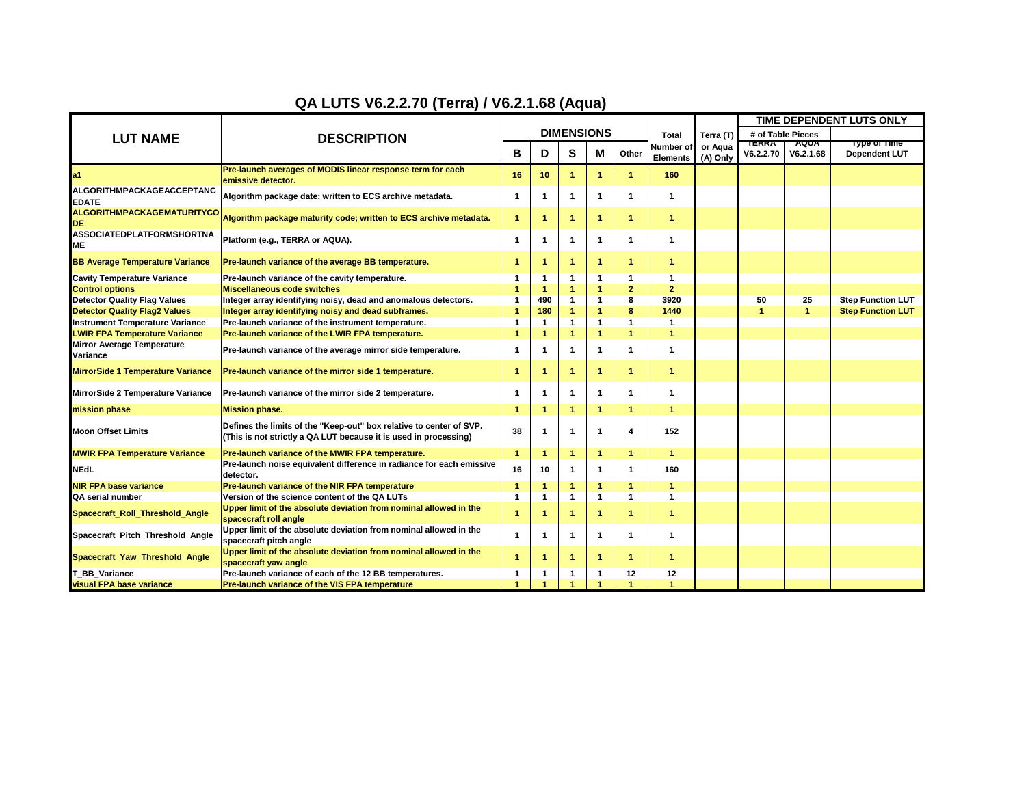|                                                  | <b>DESCRIPTION</b>                                                                                                                      |                      |                      |                      |                      |                      |                           | Terra (T)<br>or Aqua | TIME DEPENDENT LUTS ONLY |                      |                          |
|--------------------------------------------------|-----------------------------------------------------------------------------------------------------------------------------------------|----------------------|----------------------|----------------------|----------------------|----------------------|---------------------------|----------------------|--------------------------|----------------------|--------------------------|
| <b>LUT NAME</b>                                  |                                                                                                                                         |                      |                      | <b>DIMENSIONS</b>    |                      |                      | <b>Total</b><br>Number of |                      | # of Table Pieces        |                      |                          |
|                                                  |                                                                                                                                         |                      |                      |                      |                      |                      |                           |                      | <b>TERRA</b>             | <b>AQUA</b>          | Type of Time             |
|                                                  |                                                                                                                                         | в                    | D                    | S                    | М                    | Other                | <b>Elements</b>           | (A) Only             | V6.2.2.70                | V6.2.1.68            | <b>Dependent LUT</b>     |
| a1                                               | Pre-launch averages of MODIS linear response term for each<br>emissive detector.                                                        | 16                   | 10                   |                      | $\overline{1}$       | $\blacktriangleleft$ | 160                       |                      |                          |                      |                          |
| <b>ALGORITHMPACKAGEACCEPTANC</b><br><b>EDATE</b> | Algorithm package date; written to ECS archive metadata.                                                                                | $\mathbf{1}$         | 1                    |                      | $\overline{1}$       | $\mathbf{1}$         | -1                        |                      |                          |                      |                          |
| <b>ALGORITHMPACKAGEMATURITYCO</b><br><b>DE</b>   | Algorithm package maturity code; written to ECS archive metadata.                                                                       | $\blacktriangleleft$ | -1                   | 1                    | $\blacktriangleleft$ | $\blacktriangleleft$ | $\overline{1}$            |                      |                          |                      |                          |
| <b>ASSOCIATEDPLATFORMSHORTNA</b><br><b>ME</b>    | Platform (e.g., TERRA or AQUA).                                                                                                         | $\mathbf{1}$         | 1                    | 1                    | $\mathbf{1}$         | $\blacktriangleleft$ | $\mathbf{1}$              |                      |                          |                      |                          |
| <b>BB Average Temperature Variance</b>           | Pre-launch variance of the average BB temperature.                                                                                      | $\mathbf{1}$         | 1                    | 1                    | $\blacktriangleleft$ | $\blacktriangleleft$ | $\overline{1}$            |                      |                          |                      |                          |
| <b>Cavity Temperature Variance</b>               | Pre-launch variance of the cavity temperature.                                                                                          | $\mathbf{1}$         | 1                    |                      | $\mathbf{1}$         | $\mathbf{1}$         | -1                        |                      |                          |                      |                          |
| <b>Control options</b>                           | Miscellaneous code switches                                                                                                             | $\overline{1}$       |                      |                      | $\blacktriangleleft$ | $\overline{2}$       | $\overline{2}$            |                      |                          |                      |                          |
| <b>Detector Quality Flag Values</b>              | Integer array identifying noisy, dead and anomalous detectors.                                                                          | 1                    | 490                  | 1                    | $\mathbf{1}$         | 8                    | 3920                      |                      | 50                       | 25                   | <b>Step Function LUT</b> |
| <b>Detector Quality Flag2 Values</b>             | Integer array identifying noisy and dead subframes.                                                                                     | $\overline{1}$       | 180                  |                      | $\blacktriangleleft$ | 8                    | 1440                      |                      | $\blacktriangleleft$     | $\blacktriangleleft$ | <b>Step Function LUT</b> |
| <b>Instrument Temperature Variance</b>           | Pre-launch variance of the instrument temperature.                                                                                      | $\mathbf{1}$         | $\mathbf{1}$         | 1                    | $\mathbf{1}$         | $\mathbf{1}$         | $\mathbf{1}$              |                      |                          |                      |                          |
| <b>LWIR FPA Temperature Variance</b>             | Pre-launch variance of the LWIR FPA temperature.                                                                                        | $\overline{1}$       | $\blacktriangleleft$ | 1                    | $\blacktriangleleft$ | $\blacktriangleleft$ | $\overline{1}$            |                      |                          |                      |                          |
| <b>Mirror Average Temperature</b><br>Variance    | Pre-launch variance of the average mirror side temperature.                                                                             | $\mathbf{1}$         | 1                    | 1                    | $\mathbf{1}$         | $\mathbf{1}$         | -1                        |                      |                          |                      |                          |
| <b>MirrorSide 1 Temperature Variance</b>         | Pre-launch variance of the mirror side 1 temperature.                                                                                   | $\mathbf{1}$         | -1                   | 1                    | $\blacktriangleleft$ | $\blacktriangleleft$ | $\overline{1}$            |                      |                          |                      |                          |
| MirrorSide 2 Temperature Variance                | Pre-launch variance of the mirror side 2 temperature.                                                                                   | $\mathbf{1}$         | 1                    | 1                    | $\mathbf{1}$         | $\blacktriangleleft$ | $\mathbf{1}$              |                      |                          |                      |                          |
| mission phase                                    | <b>Mission phase.</b>                                                                                                                   | $\mathbf{1}$         | -1                   | $\blacktriangleleft$ | $\blacktriangleleft$ | $\mathbf{1}$         | -1                        |                      |                          |                      |                          |
| <b>Moon Offset Limits</b>                        | Defines the limits of the "Keep-out" box relative to center of SVP.<br>(This is not strictly a QA LUT because it is used in processing) | 38                   | 1                    | 1                    | $\mathbf{1}$         | 4                    | 152                       |                      |                          |                      |                          |
| <b>MWIR FPA Temperature Variance</b>             | Pre-launch variance of the MWIR FPA temperature.                                                                                        | $\mathbf{1}$         | -1                   | $\blacktriangleleft$ | $\blacktriangleleft$ | $\blacktriangleleft$ | -1                        |                      |                          |                      |                          |
| <b>NEdL</b>                                      | Pre-launch noise equivalent difference in radiance for each emissive<br>detector.                                                       | 16                   | 10                   |                      | $\mathbf{1}$         | $\blacktriangleleft$ | 160                       |                      |                          |                      |                          |
| <b>NIR FPA base variance</b>                     | Pre-launch variance of the NIR FPA temperature                                                                                          | $\blacktriangleleft$ | -1                   | -1                   | $\blacktriangleleft$ | $\blacktriangleleft$ | $\overline{1}$            |                      |                          |                      |                          |
| QA serial number                                 | Version of the science content of the QA LUTs                                                                                           | $\mathbf{1}$         | $\mathbf{1}$         | $\mathbf{1}$         | $\mathbf{1}$         | $\mathbf{1}$         | $\mathbf{1}$              |                      |                          |                      |                          |
| Spacecraft_Roll_Threshold_Angle                  | Upper limit of the absolute deviation from nominal allowed in the<br>spacecraft roll angle                                              | $\blacktriangleleft$ | -1                   | -1                   | $\blacktriangleleft$ | $\blacktriangleleft$ | $\overline{1}$            |                      |                          |                      |                          |
| Spacecraft_Pitch_Threshold_Angle                 | Upper limit of the absolute deviation from nominal allowed in the<br>spacecraft pitch angle                                             | $\mathbf{1}$         | 1                    |                      | $\mathbf 1$          | $\mathbf 1$          | -1                        |                      |                          |                      |                          |
| Spacecraft_Yaw_Threshold_Angle                   | Upper limit of the absolute deviation from nominal allowed in the<br>spacecraft yaw angle                                               | $\mathbf{1}$         | 1                    | 1                    | $\blacktriangleleft$ | $\blacktriangleleft$ | $\overline{1}$            |                      |                          |                      |                          |
| T_BB_Variance                                    | Pre-launch variance of each of the 12 BB temperatures.                                                                                  | $\mathbf 1$          | 1                    |                      | $\mathbf 1$          | 12                   | 12                        |                      |                          |                      |                          |
| <b>visual FPA base variance</b>                  | Pre-launch variance of the VIS FPA temperature                                                                                          |                      |                      |                      |                      |                      | 4                         |                      |                          |                      |                          |

## **QA LUTS V6.2.2.70 (Terra) / V6.2.1.68 (Aqua)**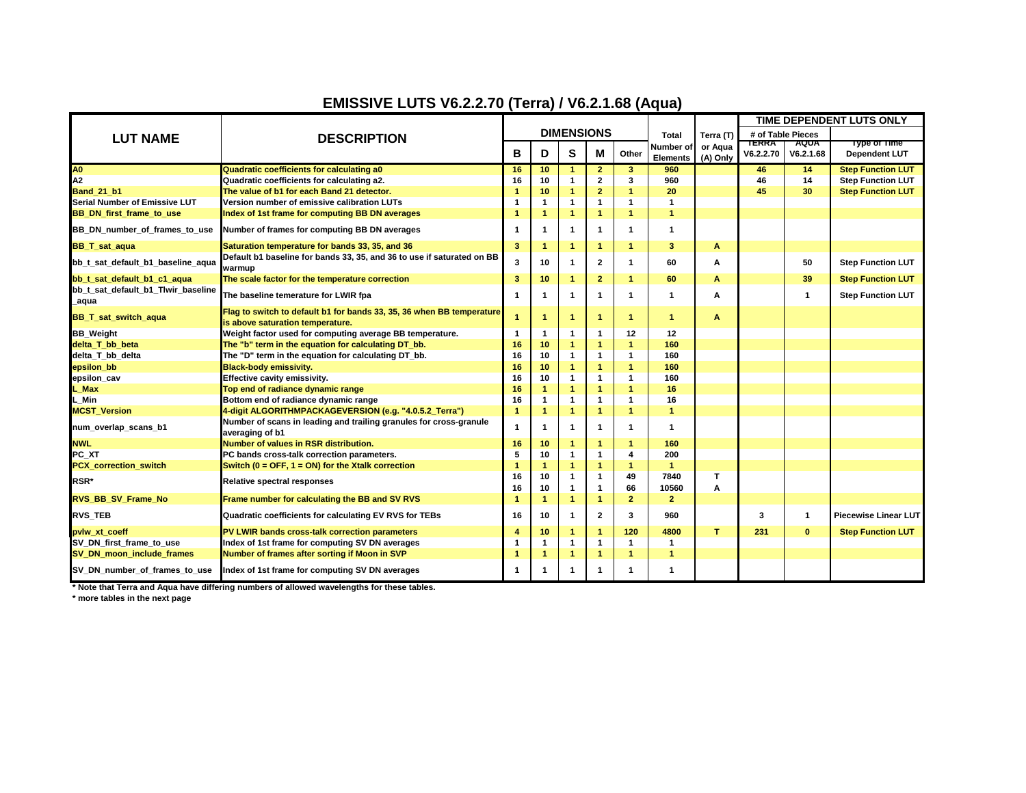## **EMISSIVE LUTS V6.2.2.70 (Terra) / V6.2.1.68 (Aqua)**

|                                            |                                                                                                           |                      |                |                      |                              |                      | TIME DEPENDENT LUTS ONLY |           |                   |              |                             |
|--------------------------------------------|-----------------------------------------------------------------------------------------------------------|----------------------|----------------|----------------------|------------------------------|----------------------|--------------------------|-----------|-------------------|--------------|-----------------------------|
| <b>LUT NAME</b>                            | <b>DESCRIPTION</b>                                                                                        | <b>DIMENSIONS</b>    |                |                      |                              |                      | <b>Total</b>             | Terra (T) | # of Table Pieces |              |                             |
|                                            |                                                                                                           |                      |                |                      |                              |                      | Number of                | or Aqua   | <b>TERRA</b>      | <b>AQUA</b>  | Type of Time                |
|                                            |                                                                                                           | В                    | D              | S                    | M                            | Other                | Elements                 | (A) Only  | V6.2.2.70         | V6.2.1.68    | <b>Dependent LUT</b>        |
| A <sub>0</sub>                             | Quadratic coefficients for calculating a0                                                                 | 16                   | 10             |                      | $\mathbf{2}$                 | 3                    | 960                      |           | 46                | 14           | <b>Step Function LUT</b>    |
| A2                                         | Quadratic coefficients for calculating a2.                                                                | 16                   | 10             | $\mathbf{1}$         | $\overline{2}$               | 3                    | 960                      |           | 46                | 14           | <b>Step Function LUT</b>    |
| <b>Band 21 b1</b>                          | The value of b1 for each Band 21 detector.                                                                |                      | 10             | -1                   | $\mathbf{2}$                 | $\blacktriangleleft$ | 20                       |           | 45                | 30           | <b>Step Function LUT</b>    |
| Serial Number of Emissive LUT              | Version number of emissive calibration LUTs                                                               | 1                    | $\overline{1}$ | $\overline{1}$       | $\mathbf{1}$                 | 1                    | 1                        |           |                   |              |                             |
| <b>BB</b> DN first frame to use            | Index of 1st frame for computing BB DN averages                                                           | $\blacktriangleleft$ | 1              | $\overline{1}$       | $\blacktriangleleft$         | $\blacktriangleleft$ | $\blacktriangleleft$     |           |                   |              |                             |
| BB DN number of frames to use              | Number of frames for computing BB DN averages                                                             | 1                    | -1             | -1                   | $\mathbf{1}$                 | 1                    | 1                        |           |                   |              |                             |
| <b>BB</b> T sat aqua                       | Saturation temperature for bands 33, 35, and 36                                                           | 3                    | ٠              |                      | $\blacktriangleleft$         | $\blacktriangleleft$ | 3                        | A         |                   |              |                             |
| bb t sat default b1 baseline aqua          | Default b1 baseline for bands 33, 35, and 36 to use if saturated on BB<br>warmup                          | 3                    | 10             | -1                   | $\overline{2}$               | $\mathbf{1}$         | 60                       | A         |                   | 50           | <b>Step Function LUT</b>    |
| bb_t_sat_default_b1_c1_aqua                | The scale factor for the temperature correction                                                           | 3                    | 10             | -1                   | $\overline{2}$               | $\blacktriangleleft$ | 60                       | ٨         |                   | 39           | <b>Step Function LUT</b>    |
| bb t sat default b1 Tlwir baseline<br>aqua | The baseline temerature for LWIR fpa                                                                      | 1                    | 1              |                      | $\mathbf{1}$                 | 1                    | 1                        | A         |                   | $\mathbf{1}$ | <b>Step Function LUT</b>    |
| <b>BB_T_sat_switch_aqua</b>                | Flag to switch to default b1 for bands 33, 35, 36 when BB temperature<br>is above saturation temperature. | $\blacktriangleleft$ | -1             | -1                   | $\blacktriangleleft$         | $\blacktriangleleft$ | $\blacktriangleleft$     | A         |                   |              |                             |
| <b>BB_Weight</b>                           | Weight factor used for computing average BB temperature.                                                  | 1                    | -1             |                      | $\mathbf{1}$                 | 12                   | 12                       |           |                   |              |                             |
| delta T bb beta                            | The "b" term in the equation for calculating DT_bb.                                                       | 16                   | 10             | $\overline{1}$       | $\mathbf{1}$                 | $\mathbf{1}$         | 160                      |           |                   |              |                             |
| delta T bb delta                           | The "D" term in the equation for calculating DT_bb.                                                       | 16                   | 10             | $\mathbf{1}$         | $\mathbf{1}$                 | $\mathbf{1}$         | 160                      |           |                   |              |                             |
| epsilon_bb                                 | <b>Black-body emissivity.</b>                                                                             | 16                   | 10             | $\overline{1}$       | $\mathbf{1}$                 | $\blacktriangleleft$ | 160                      |           |                   |              |                             |
| epsilon_cav                                | Effective cavity emissivity.                                                                              | 16                   | 10             | $\overline{1}$       | $\mathbf{1}$                 | $\mathbf{1}$         | 160                      |           |                   |              |                             |
| L_Max                                      | Top end of radiance dynamic range                                                                         | 16                   | 1              | $\overline{1}$       | $\mathbf{1}$                 | $\blacktriangleleft$ | 16                       |           |                   |              |                             |
| L_Min                                      | Bottom end of radiance dynamic range                                                                      | 16                   | -1             | $\mathbf{1}$         | $\mathbf{1}$                 | 1                    | 16                       |           |                   |              |                             |
| <b>MCST Version</b>                        | 4-digit ALGORITHMPACKAGEVERSION (e.g. "4.0.5.2_Terra")                                                    | $\blacktriangleleft$ | 1              | $\overline{1}$       | $\mathbf{1}$                 | $\blacktriangleleft$ | $\overline{1}$           |           |                   |              |                             |
| num_overlap_scans_b1                       | Number of scans in leading and trailing granules for cross-granule<br>averaging of b1                     | 1                    | 1              | -1                   | $\mathbf{1}$                 | 1                    | $\mathbf{1}$             |           |                   |              |                             |
| <b>NWL</b>                                 | Number of values in RSR distribution.                                                                     | 16                   | 10             | -1                   | $\overline{1}$               | $\blacktriangleleft$ | 160                      |           |                   |              |                             |
| PC XT                                      | PC bands cross-talk correction parameters.                                                                | 5                    | 10             | $\mathbf{1}$         | $\mathbf{1}$                 | 4                    | 200                      |           |                   |              |                             |
| <b>PCX_correction_switch</b>               | Switch ( $0 =$ OFF, $1 =$ ON) for the Xtalk correction                                                    |                      | -1             |                      | $\mathbf{1}$                 | $\mathbf{1}$         | 1                        |           |                   |              |                             |
| RSR*                                       | <b>Relative spectral responses</b>                                                                        | 16<br>16             | 10<br>10       | -1<br>-1             | $\mathbf{1}$<br>$\mathbf{1}$ | 49<br>66             | 7840<br>10560            | T<br>A    |                   |              |                             |
| <b>RVS BB SV Frame No</b>                  | Frame number for calculating the BB and SV RVS                                                            | $\blacktriangleleft$ | 1              | $\overline{1}$       | $\mathbf{1}$                 | $\overline{2}$       | $\overline{2}$           |           |                   |              |                             |
| <b>RVS_TEB</b>                             | Quadratic coefficients for calculating EV RVS for TEBs                                                    | 16                   | 10             |                      | $\mathbf{2}$                 | 3                    | 960                      |           | 3                 | $\mathbf{1}$ | <b>Piecewise Linear LUT</b> |
| pvlw xt coeff                              | PV LWIR bands cross-talk correction parameters                                                            | 4                    | 10             |                      | $\mathbf{1}$                 | 120                  | 4800                     | T         | 231               | $\mathbf{0}$ | <b>Step Function LUT</b>    |
| SV DN first frame to use                   | Index of 1st frame for computing SV DN averages                                                           | 1                    | 1              | $\overline{1}$       | $\mathbf{1}$                 | 1                    | $\mathbf{1}$             |           |                   |              |                             |
| SV DN moon include frames                  | Number of frames after sorting if Moon in SVP                                                             | 1                    | -1             | $\blacktriangleleft$ | $\mathbf{1}$                 | $\blacktriangleleft$ | $\mathbf{1}$             |           |                   |              |                             |
| SV_DN_number_of_frames_to_use              | Index of 1st frame for computing SV DN averages                                                           | 1                    | 1              |                      | $\mathbf{1}$                 | 1                    | 1                        |           |                   |              |                             |

**\* Note that Terra and Aqua have differing numbers of allowed wavelengths for these tables.**

**\* more tables in the next page**